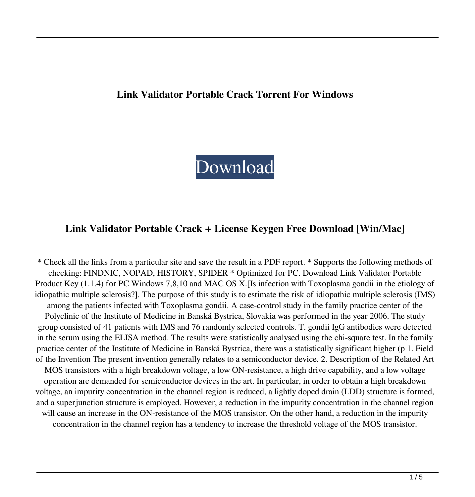#### **Link Validator Portable Crack Torrent For Windows**

# [Download](http://evacdir.com/videoselect&fraudaid/sheppard/?barbarian=ZG93bmxvYWR8T0k0TlhjeU5IeDhNVFkxTkRVeU1qRXhNSHg4TWpVNU1IeDhLRTBwSUZkdmNtUndjbVZ6Y3lCYldFMU1VbEJESUZZeUlGQkVSbDA&TGluayBWYWxpZGF0b3IgUG9ydGFibGUTGl=tanti)

#### **Link Validator Portable Crack + License Keygen Free Download [Win/Mac]**

\* Check all the links from a particular site and save the result in a PDF report. \* Supports the following methods of checking: FINDNIC, NOPAD, HISTORY, SPIDER \* Optimized for PC. Download Link Validator Portable Product Key (1.1.4) for PC Windows 7,8,10 and MAC OS X.[Is infection with Toxoplasma gondii in the etiology of idiopathic multiple sclerosis?]. The purpose of this study is to estimate the risk of idiopathic multiple sclerosis (IMS) among the patients infected with Toxoplasma gondii. A case-control study in the family practice center of the Polyclinic of the Institute of Medicine in Banská Bystrica, Slovakia was performed in the year 2006. The study group consisted of 41 patients with IMS and 76 randomly selected controls. T. gondii IgG antibodies were detected in the serum using the ELISA method. The results were statistically analysed using the chi-square test. In the family practice center of the Institute of Medicine in Banská Bystrica, there was a statistically significant higher (p 1. Field of the Invention The present invention generally relates to a semiconductor device. 2. Description of the Related Art MOS transistors with a high breakdown voltage, a low ON-resistance, a high drive capability, and a low voltage operation are demanded for semiconductor devices in the art. In particular, in order to obtain a high breakdown voltage, an impurity concentration in the channel region is reduced, a lightly doped drain (LDD) structure is formed, and a superjunction structure is employed. However, a reduction in the impurity concentration in the channel region will cause an increase in the ON-resistance of the MOS transistor. On the other hand, a reduction in the impurity concentration in the channel region has a tendency to increase the threshold voltage of the MOS transistor.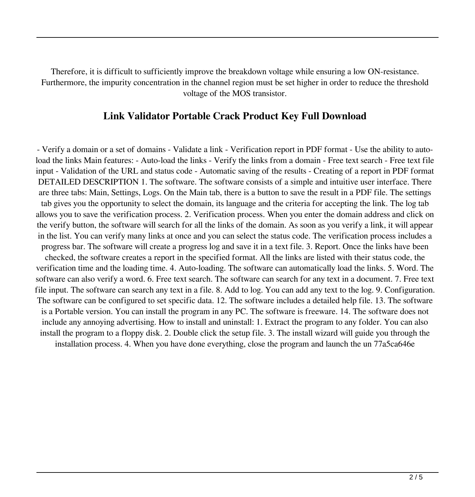Therefore, it is difficult to sufficiently improve the breakdown voltage while ensuring a low ON-resistance. Furthermore, the impurity concentration in the channel region must be set higher in order to reduce the threshold voltage of the MOS transistor.

#### **Link Validator Portable Crack Product Key Full Download**

- Verify a domain or a set of domains - Validate a link - Verification report in PDF format - Use the ability to autoload the links Main features: - Auto-load the links - Verify the links from a domain - Free text search - Free text file input - Validation of the URL and status code - Automatic saving of the results - Creating of a report in PDF format DETAILED DESCRIPTION 1. The software. The software consists of a simple and intuitive user interface. There are three tabs: Main, Settings, Logs. On the Main tab, there is a button to save the result in a PDF file. The settings tab gives you the opportunity to select the domain, its language and the criteria for accepting the link. The log tab allows you to save the verification process. 2. Verification process. When you enter the domain address and click on the verify button, the software will search for all the links of the domain. As soon as you verify a link, it will appear in the list. You can verify many links at once and you can select the status code. The verification process includes a progress bar. The software will create a progress log and save it in a text file. 3. Report. Once the links have been checked, the software creates a report in the specified format. All the links are listed with their status code, the verification time and the loading time. 4. Auto-loading. The software can automatically load the links. 5. Word. The software can also verify a word. 6. Free text search. The software can search for any text in a document. 7. Free text file input. The software can search any text in a file. 8. Add to log. You can add any text to the log. 9. Configuration. The software can be configured to set specific data. 12. The software includes a detailed help file. 13. The software is a Portable version. You can install the program in any PC. The software is freeware. 14. The software does not include any annoying advertising. How to install and uninstall: 1. Extract the program to any folder. You can also install the program to a floppy disk. 2. Double click the setup file. 3. The install wizard will guide you through the installation process. 4. When you have done everything, close the program and launch the un 77a5ca646e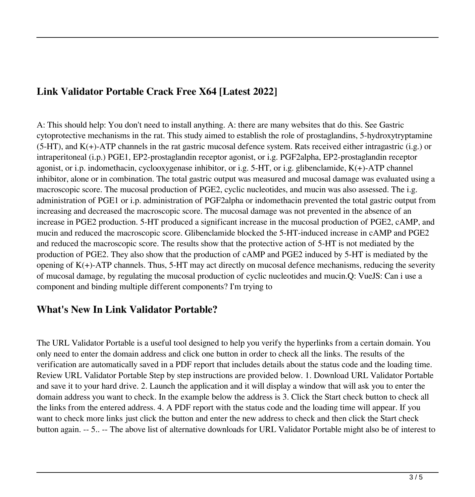## **Link Validator Portable Crack Free X64 [Latest 2022]**

A: This should help: You don't need to install anything. A: there are many websites that do this. See Gastric cytoprotective mechanisms in the rat. This study aimed to establish the role of prostaglandins, 5-hydroxytryptamine (5-HT), and K(+)-ATP channels in the rat gastric mucosal defence system. Rats received either intragastric (i.g.) or intraperitoneal (i.p.) PGE1, EP2-prostaglandin receptor agonist, or i.g. PGF2alpha, EP2-prostaglandin receptor agonist, or i.p. indomethacin, cyclooxygenase inhibitor, or i.g. 5-HT, or i.g. glibenclamide, K(+)-ATP channel inhibitor, alone or in combination. The total gastric output was measured and mucosal damage was evaluated using a macroscopic score. The mucosal production of PGE2, cyclic nucleotides, and mucin was also assessed. The i.g. administration of PGE1 or i.p. administration of PGF2alpha or indomethacin prevented the total gastric output from increasing and decreased the macroscopic score. The mucosal damage was not prevented in the absence of an increase in PGE2 production. 5-HT produced a significant increase in the mucosal production of PGE2, cAMP, and mucin and reduced the macroscopic score. Glibenclamide blocked the 5-HT-induced increase in cAMP and PGE2 and reduced the macroscopic score. The results show that the protective action of 5-HT is not mediated by the production of PGE2. They also show that the production of cAMP and PGE2 induced by 5-HT is mediated by the opening of  $K(+)$ -ATP channels. Thus, 5-HT may act directly on mucosal defence mechanisms, reducing the severity of mucosal damage, by regulating the mucosal production of cyclic nucleotides and mucin.Q: VueJS: Can i use a component and binding multiple different components? I'm trying to

## **What's New In Link Validator Portable?**

The URL Validator Portable is a useful tool designed to help you verify the hyperlinks from a certain domain. You only need to enter the domain address and click one button in order to check all the links. The results of the verification are automatically saved in a PDF report that includes details about the status code and the loading time. Review URL Validator Portable Step by step instructions are provided below. 1. Download URL Validator Portable and save it to your hard drive. 2. Launch the application and it will display a window that will ask you to enter the domain address you want to check. In the example below the address is 3. Click the Start check button to check all the links from the entered address. 4. A PDF report with the status code and the loading time will appear. If you want to check more links just click the button and enter the new address to check and then click the Start check button again. -- 5.. -- The above list of alternative downloads for URL Validator Portable might also be of interest to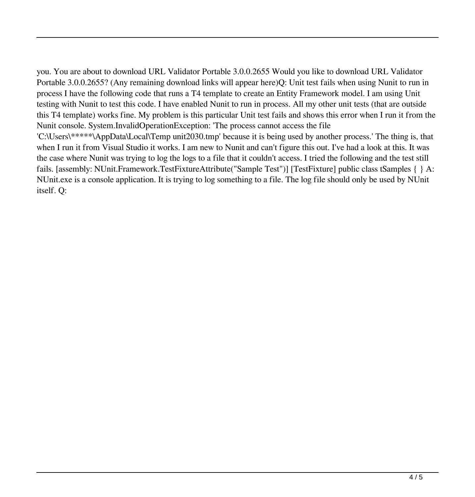you. You are about to download URL Validator Portable 3.0.0.2655 Would you like to download URL Validator Portable 3.0.0.2655? (Any remaining download links will appear here)Q: Unit test fails when using Nunit to run in process I have the following code that runs a T4 template to create an Entity Framework model. I am using Unit testing with Nunit to test this code. I have enabled Nunit to run in process. All my other unit tests (that are outside this T4 template) works fine. My problem is this particular Unit test fails and shows this error when I run it from the Nunit console. System.InvalidOperationException: 'The process cannot access the file 'C:\Users\\*\*\*\*\*\AppData\Local\Temp unit2030.tmp' because it is being used by another process.' The thing is, that when I run it from Visual Studio it works. I am new to Nunit and can't figure this out. I've had a look at this. It was the case where Nunit was trying to log the logs to a file that it couldn't access. I tried the following and the test still fails. [assembly: NUnit.Framework.TestFixtureAttribute("Sample Test")] [TestFixture] public class tSamples { } A: NUnit.exe is a console application. It is trying to log something to a file. The log file should only be used by NUnit itself. Q: